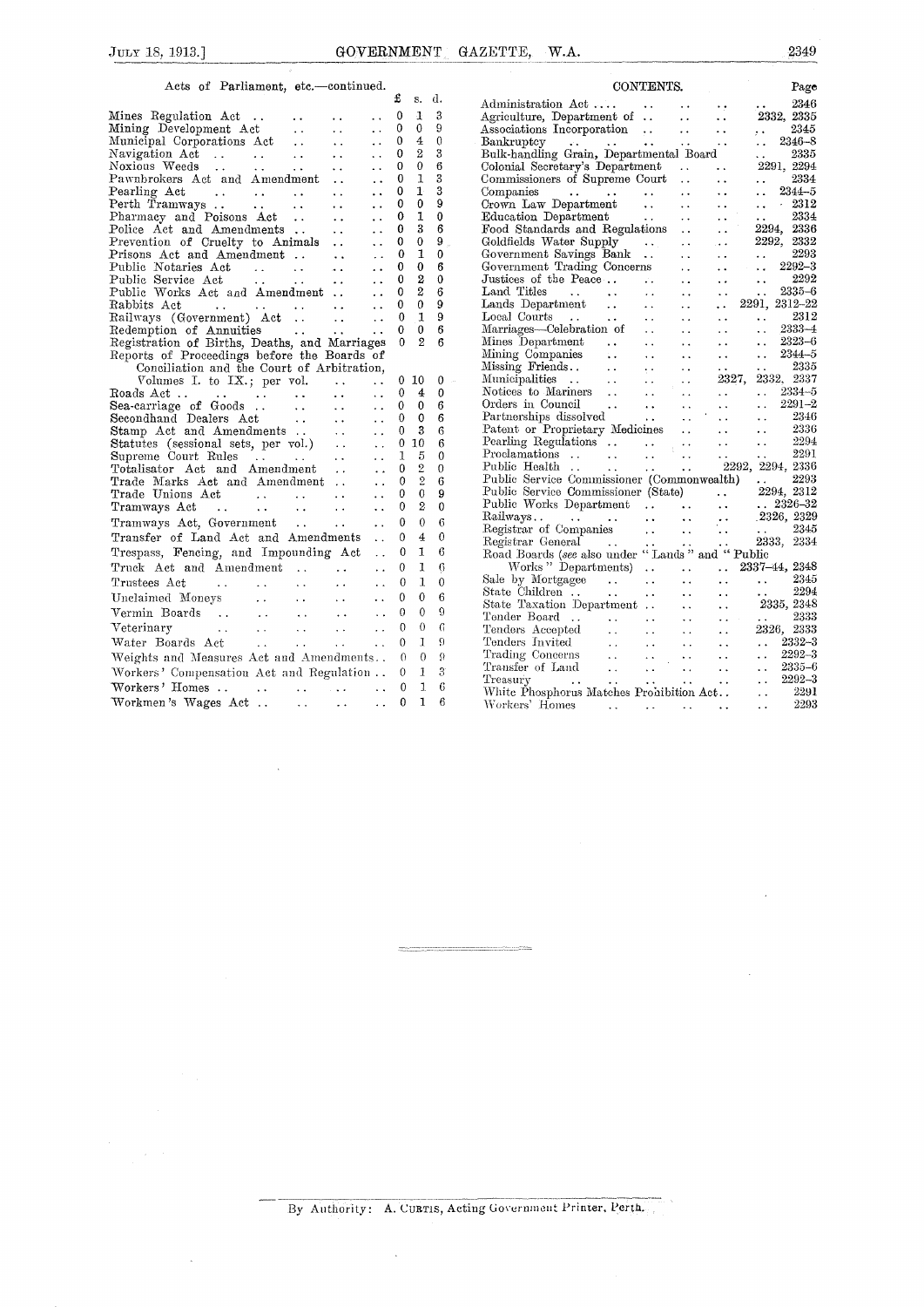## Acts of Parliament, etc.—continued.

|                                                                                                                                                                        | £            | s.               | d.            | 2346<br>Administration Act                                                                                                                                                                                                                                                   |
|------------------------------------------------------------------------------------------------------------------------------------------------------------------------|--------------|------------------|---------------|------------------------------------------------------------------------------------------------------------------------------------------------------------------------------------------------------------------------------------------------------------------------------|
| Mines Regulation Act<br>$\ddot{\phantom{0}}$                                                                                                                           | $\Omega$     | $\mathbf{1}$     | 3             | 2332, 2335<br>Agriculture, Department of<br>$\sim$ .<br>$\ddot{\phantom{1}}$ .                                                                                                                                                                                               |
| $\sim$ $\sim$<br>$\ddot{\phantom{0}}$                                                                                                                                  | 0            | $\Omega$         | 9             | Associations Incorporation<br>2345<br>$\ddot{\phantom{a}}$ .                                                                                                                                                                                                                 |
| Mining Development Act<br>Municipal Corporations Act<br>$\ddotsc$<br>$\ddot{\phantom{0}}$                                                                              | $\mathbf{0}$ | $\overline{4}$   | $\theta$      | 2346-8<br>Bankruptcy<br>$\ddotsc$<br>$\ddot{\phantom{a}}$                                                                                                                                                                                                                    |
| Navigation Act<br>$\ddotsc$<br>$\ddot{\phantom{0}}$                                                                                                                    | 0            | $\overline{2}$   | 3             | Bulk-handling Grain, Departmental Board<br>2335<br>$\ddotsc$                                                                                                                                                                                                                 |
| Noxious Weeds<br>$\ddot{\phantom{a}}$ .<br>$\ddot{\phantom{0}}$                                                                                                        | $\theta$     | $\Omega$         | 6             | Colonial Secretary's Department<br>2291, 2294<br>$\sim 10^{-1}$<br>$\ddot{\phantom{0}}$                                                                                                                                                                                      |
| Pawnbrokers Act and Amendment<br>$\ddot{\phantom{a}}$                                                                                                                  | 0            | 1                | 3             | Commissioners of Supreme Court<br>2334<br>$\sim 100$<br>$\ddot{\phantom{a}}$                                                                                                                                                                                                 |
| Pearling Act<br>$\sim$ $\sim$<br>$\ddot{\phantom{0}}$                                                                                                                  | 0            | $\mathbf{1}$     | 3             | $2344 - 5$<br>Companies<br>$\sim$ $\sim$<br>$\ddot{\phantom{0}}$<br>$\sim$                                                                                                                                                                                                   |
| $\sim 100$ km s $^{-1}$<br>$\ddotsc$                                                                                                                                   | 0            | $\bf{0}$         | 9             | Companies<br>Crown Law Department<br>2312<br>$\sim$<br>$\sim 10^{-1}$<br>$\ddotsc$<br>$\ddotsc$                                                                                                                                                                              |
| Pharmacy and Poisons Act<br>$\sim$ $\sim$<br>$\ddot{\phantom{a}}$                                                                                                      | 0            | $\mathbf{1}$     | $\bf{0}$      | 2334<br>Education Department<br><b>Contract Contract</b><br>$\sim$ $\sim$<br>$\ddot{\phantom{a}}$<br>$\sim$ $\sim$                                                                                                                                                           |
| Police Act and Amendments<br>$\sim$ .<br>$\ddot{\phantom{1}}$                                                                                                          | 0            | 3                | 6             | 2294, 2336<br>Food Standards and Regulations<br>$\ddot{\phantom{a}}$                                                                                                                                                                                                         |
| Prevention of Cruelty to Animals<br>$\sim$ $\sim$                                                                                                                      | 0            | $\bf{0}$         | 9             | 2292, 2332<br>Goldfields Water Supply<br><b>Contractor</b><br>$\sim$ $\sim$<br>$\ddotsc$                                                                                                                                                                                     |
| Prisons Act and Amendment<br>$\ddot{\phantom{a}}$                                                                                                                      | $\Omega$     | 1                | $\Omega$      | 2293<br>Government Savings Bank<br>$\sim$ $\sim$<br>$\ddotsc$<br>$\ddotsc$                                                                                                                                                                                                   |
| Public Notaries Act<br>الأعام المتعارف المعاري<br>$\ddot{\phantom{a}}$                                                                                                 | 0            | $\theta$         | 6             | 2292-3<br>Government Trading Concerns<br>$\sim$ $\sim$<br>$\sim 10^{-1}$<br>$\ddot{\phantom{0}}$                                                                                                                                                                             |
| Public Service Act<br>$\mathbf{r}$ , $\mathbf{r}$ , $\mathbf{r}$ , $\mathbf{r}$ , $\mathbf{r}$<br>$\ddot{\phantom{a}}$                                                 | $\bf{0}$     | $\boldsymbol{2}$ | $\mathbf{0}$  | 2292<br>Justices of the Peace<br>$\mathbf{r}$ .<br>$\ddot{\phantom{a}}$<br>$\ddot{\phantom{1}}$                                                                                                                                                                              |
| Public Works Act and Amendment<br>$\ddot{\phantom{a}}$                                                                                                                 | 0            | $\boldsymbol{2}$ | 6             | $2335 - 6$<br>Land Titles<br>$\ddot{\phantom{a}}$ .<br>$\mathcal{L}^{\mathcal{A}}$ , where $\mathcal{L}^{\mathcal{A}}$ and $\mathcal{L}^{\mathcal{A}}$ are $\mathcal{L}^{\mathcal{A}}$ . In the $\mathcal{L}^{\mathcal{A}}$<br>$\ddot{\phantom{a}}$<br>$\ddot{\phantom{a}}$  |
| Rabbits Act<br>and the contract of the contract of the<br>$\ddot{\phantom{a}}$                                                                                         | $\theta$     | $\theta$         | 9             | 2291, 2312-22<br>Lands Department<br>$\ddot{\phantom{a}}$<br>$\sim 10^{-1}$                                                                                                                                                                                                  |
| Railways (Government) Act<br>$\ddot{\phantom{a}}$                                                                                                                      | $\Omega$     | $\mathbf{1}$     | 9             | 2312<br>Local Courts<br><b>Contract Contract</b><br>$\mathbf{1}$ , $\mathbf{1}$ , $\mathbf{1}$<br>$\sim 100$ km s $^{-1}$<br>$\ddot{\phantom{a}}$ .<br>$\ddotsc$<br>$\sim$ $\sim$                                                                                            |
| Redemption of Annuities<br>$\sim$ $\sim$<br>$\ddot{\phantom{a}}$                                                                                                       | $\Omega$     | $\theta$         | 6             | $2333 - 4$<br>Marriages—Celebration of<br>$\ddotsc$<br>$\ddot{\phantom{a}}$                                                                                                                                                                                                  |
| Registration of Births, Deaths, and Marriages                                                                                                                          | $\Omega$     | $\mathbf{2}$     | 6             | $2323 - 6$<br>Mines Department<br>$\mathbf{A} \cdot \mathbf{A}$ . The $\mathbf{A}$<br>$\sim 10^{-1}$<br>$\ddot{\phantom{a}}$<br>$\sim$ $\sim$                                                                                                                                |
| Reports of Proceedings before the Boards of                                                                                                                            |              |                  |               | $2344 - 5$<br>Mining Companies<br>Missing Friends<br>Municipalities<br>$\ddot{\phantom{a}}$<br>$\ddotsc$<br>$\ddotsc$                                                                                                                                                        |
| Conciliation and the Court of Arbitration,                                                                                                                             |              |                  |               | 2335<br>$\ddotsc$<br>$\Delta\sim 10^{-11}$<br>$\ddot{\phantom{a}}$                                                                                                                                                                                                           |
| Volumes I. to IX.; per vol.<br>$\ddot{\phantom{a}}$<br>$\ddotsc$                                                                                                       | 0            | 10               | $\Omega$      | 2327, 2332, 2337<br>$\ddot{\phantom{a}}$                                                                                                                                                                                                                                     |
| Roads Act<br>$\mathcal{L}_{\mathcal{L}}$ and $\mathcal{L}_{\mathcal{L}}$ and $\mathcal{L}_{\mathcal{L}}$ and $\mathcal{L}_{\mathcal{L}}$<br>$\sim 10$<br>$\sim$ $\sim$ | $\Omega$     | $\overline{4}$   | $\Omega$      | Notices to Mariners<br>$2334 - 5$<br>$\mathbf{A}$<br>$\sim$ .<br>$\ddotsc$                                                                                                                                                                                                   |
| $\sim$ $\sim$                                                                                                                                                          | $\Omega$     | $\mathbf{0}$     | 6             | $2291 - 2$<br>$\sim 10^{-10}$<br>$\mathbf{r}^{\mathrm{in}}$<br>$\mathcal{L}(\mathcal{A})$ and $\mathcal{L}(\mathcal{A})$                                                                                                                                                     |
| $\sim$ $\sim$                                                                                                                                                          | 0            | 0                | 6             | Partnerships dissolved<br>$\sim 1000$ and $\sim 1000$<br>2346<br>$\mathcal{L}(\mathcal{L})$ .<br>$\ddot{\phantom{a}}$                                                                                                                                                        |
| Stamp Act and Amendments<br>Statutes (sessional sets, per vol.)<br>$\ddot{\phantom{a}}$                                                                                | 0            | 3                | 6             | 2336<br>Patent or Proprietary Medicines<br>$\Delta \sim 10^4$<br>$\ddotsc$                                                                                                                                                                                                   |
| $\ddot{\phantom{a}}$                                                                                                                                                   | $\mathbf{0}$ | 10               | 6             | 2294<br>$\ddot{\phantom{a}}$                                                                                                                                                                                                                                                 |
| Supreme Court Rules<br>and the state of the state of the<br>$\sim$ $\sim$<br>$\ddot{\phantom{a}}$ .                                                                    | 1            | 5                | $\theta$      | 2291                                                                                                                                                                                                                                                                         |
| Totalisator Act and Amendment<br>$\sim$ $\sim$<br>$\ddot{\phantom{a}}$                                                                                                 | $\Omega$     | 2                | $\Omega$      | 2292, 2294, 2336                                                                                                                                                                                                                                                             |
| Trade Marks Act and Amendment<br>$\ddot{\phantom{a}}$                                                                                                                  | $\Omega$     | $\overline{2}$   | 6             | 2293<br>Public Service Commissioner (Commonwealth)<br><b><i>College College College</i></b>                                                                                                                                                                                  |
| Trade Unions Act<br>$\sim$ $\sim$<br>$\ddot{\phantom{a}}$                                                                                                              | $\theta$     | $\Omega$         | 9             | 2294, 2312<br>Public Service Commissioner (State)<br>$\mathbf{r}$ , $\mathbf{r}$ , $\mathbf{r}$                                                                                                                                                                              |
| Tramways Act<br>and the state of the state of the<br>$\ddot{\phantom{0}}$                                                                                              | $\Omega$     | 2                | $\theta$      | $\ldots$ 2326-32<br>$\Delta$ - $\Delta$ - $\Delta$                                                                                                                                                                                                                           |
| Tramways Act, Government<br>$\ddot{\phantom{a}}$                                                                                                                       | 0            | $\boldsymbol{0}$ | 6             | 2326, 2329<br>$\sim 10^{-10}$                                                                                                                                                                                                                                                |
| Transfer of Land Act and Amendments<br>$\ddot{\phantom{a}}$                                                                                                            | $\mathbf{0}$ | $\overline{4}$   | $\theta$      | ÷.<br>2345<br>$\sim 10$                                                                                                                                                                                                                                                      |
| Trespass, Fencing, and Impounding Act<br>$\ddot{\phantom{a}}$                                                                                                          | 0            | 1                | 6             | 2333, 2334                                                                                                                                                                                                                                                                   |
|                                                                                                                                                                        |              |                  |               | Road Boards (see also under "Lands" and "Public                                                                                                                                                                                                                              |
| Truck Act and Amendment<br>$\ddot{\phantom{0}}$                                                                                                                        | $\Omega$     | 1                | 6             | Works "Departments)<br>2337-44, 2348<br>$\ddotsc$                                                                                                                                                                                                                            |
| Trustees Act<br>and the contract of the contract of<br>$\ddot{\phantom{a}}$ .<br>$\sim$ $\sim$                                                                         | $\theta$     | $\mathbf{1}$     | $\theta$      | Sale by Mortgagee<br>2345<br>$\ddotsc$<br>$\ddot{\phantom{0}}$                                                                                                                                                                                                               |
| $\sim$ $\sim$<br>$\ddot{\phantom{0}}$                                                                                                                                  | $\Omega$     | $\Omega$         | 6             | 2294<br>$\ddot{\phantom{a}}$<br>$\ddot{\phantom{0}}$                                                                                                                                                                                                                         |
| Vermin Boards<br>$\ddotsc$<br>$\sim$ $\sim$                                                                                                                            | 0            | $\bf{0}$         | 9             | 2335, 2348<br>State Taxation Department<br>$\ddot{\phantom{a}}$                                                                                                                                                                                                              |
| Veterinary<br>$\Delta\Delta\sim 10^{-11}$<br>$\sim$ $\sim$                                                                                                             | $\Omega$     | $\theta$         | $\mathcal{C}$ | 2333<br>$\Delta\Delta=0.1$<br>$\sim$                                                                                                                                                                                                                                         |
| $\mathcal{L}^{\mathcal{L}}(\mathcal{L}^{\mathcal{L}})$ . The contribution of $\mathcal{L}^{\mathcal{L}}(\mathcal{L}^{\mathcal{L}})$                                    |              | I.               | 9             | 2326, 2333<br>Tenders Accepted<br>$\ddot{\phantom{a}}$                                                                                                                                                                                                                       |
| and a strong process of<br>Water Boards Act<br>$\mathbf{r}$ , $\mathbf{r}$<br>$\ddotsc$                                                                                | $\Omega$     |                  |               | $2332 - 3$<br>$\mathbf{r} \in \mathbb{R}^{n \times n}$<br>$2292 - 3$                                                                                                                                                                                                         |
| Weights and Measures Act and Amendments                                                                                                                                | $\theta$     | $\theta$         | $\Omega$      | Tenders Invited<br>Trading Concerns<br>Transfer of Land<br>Treasury<br>The Contract Contract Contract Contract Contract Contract Contract Contract Contract Contract Contract Contract Contract Contract Contract Contract Contract Co<br>$\ddot{\phantom{a}}$<br>$2335 - 6$ |
| Workers' Compensation Act and Regulation . 0                                                                                                                           |              | 1                | 3             | $\sim 10^7$<br>2292-3                                                                                                                                                                                                                                                        |
| Workers' Homes<br>$\mathcal{L}^{\mathcal{L}}$ and $\mathcal{L}^{\mathcal{L}}$ . The contribution of $\mathcal{L}^{\mathcal{L}}$<br>$\sim 10^{-1}$                      | $\mathbf{0}$ | 1                | 6             | $\ddot{\phantom{a}}$<br>2291<br>White Phosphorus Matches Prohibition Act<br>$\sim$ $\sim$                                                                                                                                                                                    |
| Workmen's Wages Act<br>and the state of the<br>$\sim$ $\sim$                                                                                                           | 0            | $\mathbf{1}$     | 6             | 2293<br>Workers' Homes                                                                                                                                                                                                                                                       |
|                                                                                                                                                                        |              |                  |               | the contract of the contract of the contract of                                                                                                                                                                                                                              |

 $\bar{\mathrm{s}}$ 

| Acts of Parliament, etc.-continued.                                                                                                                                               |              |                  |                  | CONTENTS.<br>Page                                                                                                                                                                                                                                                                                      |  |
|-----------------------------------------------------------------------------------------------------------------------------------------------------------------------------------|--------------|------------------|------------------|--------------------------------------------------------------------------------------------------------------------------------------------------------------------------------------------------------------------------------------------------------------------------------------------------------|--|
|                                                                                                                                                                                   | £            | s.               | d.               | Administration Act<br>2346                                                                                                                                                                                                                                                                             |  |
| Mines Regulation Act.<br>$\sim$ $\sim$<br>$\ddot{\phantom{0}}$                                                                                                                    | 0            | $\mathbf{1}$     | 3                | $\sim$<br>2332, 2335<br>Agriculture, Department of<br>$\sim$ $\sim$                                                                                                                                                                                                                                    |  |
| Mining Development Act<br>$\sim$ $\sim$<br>$\ddot{\phantom{a}}$<br>$\ddotsc$                                                                                                      | 0            | $\mathbf 0$      | 9                | Associations Incorporation<br>2345<br>$\ddot{\phantom{a}}$ .<br>$\mathbf{r}$                                                                                                                                                                                                                           |  |
| Municipal Corporations Act<br>$\sim$ $\sim$<br>$\ddotsc$                                                                                                                          | $^{0}$       | 4                | $\theta$         | 2346-8<br>Bankruptcy<br>$\sim$ $\sim$<br>$\sim$ $\sim$                                                                                                                                                                                                                                                 |  |
| Navigation Act<br>$\ddot{\phantom{a}}$ .<br>$\ddot{\phantom{0}}$                                                                                                                  | 0            | $\overline{2}$   | 3                | Bulk-handling Grain, Departmental Board<br>2335<br>$\ddotsc$                                                                                                                                                                                                                                           |  |
| Noxious Weeds<br><b>Carl Contractor</b><br>$\sim$ $\sim$<br>$\ddot{\phantom{0}}$                                                                                                  | 0            | 0                | 6                | 2291, 2294<br>Colonial Secretary's Department<br>$\sim 10^{-11}$<br>$\ddot{\phantom{a}}$ .                                                                                                                                                                                                             |  |
| Pawnbrokers Act and Amendment<br>$\ddot{\phantom{0}}$                                                                                                                             | 0            | 1                | 3                | Commissioners of Supreme Court<br>2334<br>$\sim$ $\sim$<br>$\ddot{\phantom{1}}$ .                                                                                                                                                                                                                      |  |
| Pearling Act<br>$\mathcal{L}^{\mathcal{L}}(\mathbf{r},\mathbf{r})$ . The contribution of $\mathcal{L}^{\mathcal{L}}(\mathbf{r},\mathbf{r})$<br>$\sim 100$<br>$\ddot{\phantom{0}}$ | 0            | $\mathbf{1}$     | 3                | $2344 - 5$<br>Companies<br>$\mathbf{a} \cdot \mathbf{a} = \mathbf{a} \cdot \mathbf{a}$ . Then<br>$\mathbf{z}$ , $\mathbf{z}$ , $\mathbf{z}$<br>$\sim$<br><b>Contractor</b><br>$\ddot{\phantom{0}}$                                                                                                     |  |
| Perth Tramways<br><b>Service Control</b><br>$\ddot{\phantom{0}}$                                                                                                                  | 0            | 0                | 9                | 2312<br>Crown Law Department<br>$\sim$<br>$\ddotsc$<br>$\ddotsc$                                                                                                                                                                                                                                       |  |
| Pharmacy and Poisons Act<br>Police Act and Amendments<br>$\ddot{\phantom{a}}$                                                                                                     | 0            | 1                | $\bf{0}$         | Education Department<br>2334<br>$\mathbf{z}$ , $\mathbf{z}$ , $\mathbf{z}$<br>$\ddot{\phantom{a}}$<br>$\ddot{\phantom{0}}$                                                                                                                                                                             |  |
| $\ddot{\phantom{1}}$                                                                                                                                                              | 0            | 3                | 6                | Food Standards and Regulations<br>2294, 2336<br>$\ddot{\phantom{a}}$                                                                                                                                                                                                                                   |  |
| Prevention of Cruelty to Animals<br>$\ddot{\phantom{a}}$                                                                                                                          | 0            | 0                | 9                | 2292, 2332<br>Goldfields Water Supply<br><b>Contract</b><br>$\sim 10^{-11}$<br>$\ddotsc$                                                                                                                                                                                                               |  |
| Prisons Act and Amendment<br>$\ddot{\phantom{0}}$                                                                                                                                 | 0            | 1                | $\mathbf 0$      | 2293<br>Government Savings Bank<br>$\sim 10^{-10}$<br>$\ddotsc$<br>$\ddotsc$                                                                                                                                                                                                                           |  |
| Public Notaries Act<br>$\ddot{\phantom{0}}$                                                                                                                                       | 0            | $\bf{0}$         | 6                | $2292 - 3$<br>Government Trading Concerns<br>$\mathcal{L}(\mathcal{L})$ .<br>$\sim$ $\sim$<br>$\ddotsc$                                                                                                                                                                                                |  |
| Public Service Act<br>$\ddot{\phantom{a}}$                                                                                                                                        | 0            | $\boldsymbol{2}$ | $\mathbf{0}$     | 2292<br>Justices of the Peace<br>$\sim 10^{-11}$<br>$\sim$ $\sim$<br>$\sim$ $\sim$                                                                                                                                                                                                                     |  |
| Public Works Act and Amendment<br>$\ddotsc$                                                                                                                                       | 0            | $\overline{2}$   | 6                | 2335-6<br>Land Titles<br>and the state of the state of<br>$\sim$ .<br><b>ALCOHOL:</b><br>$\sim$ $\sim$                                                                                                                                                                                                 |  |
| $\ddot{\phantom{0}}$                                                                                                                                                              | 0            | $\boldsymbol{0}$ | 9                | 2291, 2312-22<br>Lands Department<br>$\ddot{\phantom{a}}$<br>$\mathbf{1}$ , and $\mathbf{1}$                                                                                                                                                                                                           |  |
| $\ddot{\phantom{0}}$                                                                                                                                                              | 0            | $\mathbf{1}$     | $\overline{9}$   | 2312<br>Local Courts<br>$\mathcal{L}(\mathbf{r},\mathbf{r})$ . The contribution of $\mathcal{L}(\mathbf{r},\mathbf{r})$<br>$\sim$ $\sim$<br>$\mathbf{A} \in \mathbb{R}^{n \times n}$<br>$\ddot{\phantom{0}}$                                                                                           |  |
|                                                                                                                                                                                   | 0            | $\Omega$         | 6                | $2333 - 4$<br>Marriages—Celebration of<br>$\ddotsc$<br>$\sim 10^{-10}$<br>$\ddotsc$                                                                                                                                                                                                                    |  |
| Registration of Births, Deaths, and Marriages                                                                                                                                     | $\mathbf{0}$ | $\mathbf{2}$     | 6                | $2323 - 6$<br>Mines Department<br>$\Delta\Delta\sim 10^{-11}$<br>$\mathbf{r}$ .<br>$\sim 10^{-11}$<br>$\sim$ $\sim$                                                                                                                                                                                    |  |
| Reports of Proceedings before the Boards of                                                                                                                                       |              |                  |                  | $2344 - 5$<br>Mining Companies<br>$\Delta\Delta\sim 10^{-11}$<br>$\mathcal{L}(\mathbf{z})$ .<br>$\ddot{\phantom{a}}$<br>$\mathcal{L}_{\text{max}}$ and $\mathcal{L}_{\text{max}}$                                                                                                                      |  |
| Conciliation and the Court of Arbitration,                                                                                                                                        |              |                  |                  | 2335<br>$\sim$ $\sim$<br><b>Address Contractor</b>                                                                                                                                                                                                                                                     |  |
| Volumes I. to IX.; per vol.<br>$\ddotsc$<br>$\ddot{\phantom{a}}$                                                                                                                  |              | 0 <sub>10</sub>  | $\bf{0}$         | 2327,<br>2332, 2337<br>$\mathcal{L}_{\mathcal{F}}$ .                                                                                                                                                                                                                                                   |  |
| $\ddot{\phantom{a}}$                                                                                                                                                              | $\mathbf{0}$ | $\overline{4}$   | $\mathbf{0}$     | Notices to Mariners<br>$2334 - 5$<br>$\mathcal{L}(\mathbf{z})$ .<br>$\mathcal{L}(\mathcal{L})$ .<br>$\sim$ $\sim$                                                                                                                                                                                      |  |
|                                                                                                                                                                                   | $\Omega$     | $\theta$         | 6                | $2291 - 2$<br>Orders in Council<br>$\sim 10^7$<br>Orders in Council<br>Partnerships dissolved in the contract of the contract of the contract of the contract of the contract of the contract of the contract of the contract of the contract of the contract of the contract of th<br>$\sim 10^{-10}$ |  |
| $\sim$ $\sim$                                                                                                                                                                     | 0            | $\Omega$         | 6                | 2346<br>$\sim$ $\sim$                                                                                                                                                                                                                                                                                  |  |
|                                                                                                                                                                                   | 0            | 3                | 6                | 2336<br>Patent or Proprietary Medicines<br>$\sim 10^{-10}$<br>$\ddot{\phantom{a}}$ .<br>2294                                                                                                                                                                                                           |  |
| $\sim$ .                                                                                                                                                                          | $\mathbf{0}$ | 10               | 6                |                                                                                                                                                                                                                                                                                                        |  |
| Supreme Court Rules<br>$\mathcal{L}(\mathcal{L}) = \mathcal{L}(\mathcal{L}) = \mathcal{L}(\mathcal{L})$<br>$\sim$ $\sim$                                                          | 1            | 5                | $\Omega$         |                                                                                                                                                                                                                                                                                                        |  |
| Totalisator Act and Amendment<br>$\ddotsc$                                                                                                                                        | $\Omega$     | $\overline{2}$   | $\Omega$         | 2293                                                                                                                                                                                                                                                                                                   |  |
| Trade Marks Act and Amendment<br>$\ddot{\phantom{0}}$                                                                                                                             | $\theta$     | $\bar{2}$        | 6                | Public Service Commissioner (Commonwealth).<br>2294, 2312<br>Public Service Commissioner (State).                                                                                                                                                                                                      |  |
| Trade Unions Act (1996).<br>$\ddot{\phantom{a}}$ .                                                                                                                                | $\Omega$     | $\Omega$         | 9                |                                                                                                                                                                                                                                                                                                        |  |
| Tramways Act<br>and a straightful and straight and<br>$\ddotsc$                                                                                                                   | $\Omega$     | $\overline{2}$   | $\Omega$         |                                                                                                                                                                                                                                                                                                        |  |
| Tramways Act, Government<br>$\ddot{\phantom{a}}$                                                                                                                                  | $\theta$     | $\theta$         | 6                |                                                                                                                                                                                                                                                                                                        |  |
| Transfer of Land Act and Amendments<br>$\ddot{\phantom{a}}$ .                                                                                                                     | $\mathbf{0}$ | $\overline{4}$   | $\theta$         |                                                                                                                                                                                                                                                                                                        |  |
| Trespass, Fencing, and Impounding Act<br>$\ddotsc$                                                                                                                                | $\bf{0}$     | 1                | 6                | Road Boards (see also under "Lands" and "Public                                                                                                                                                                                                                                                        |  |
| Truck Act and Amendment<br>$\ddot{\phantom{0}}$                                                                                                                                   | $\theta$     | 1                | 6                | Works "Departments) 2337-44, 2348                                                                                                                                                                                                                                                                      |  |
|                                                                                                                                                                                   |              |                  |                  | 2345<br>$\mathbf{r} \in \mathbb{R}^{d \times d}$<br>$\ddotsc$                                                                                                                                                                                                                                          |  |
| Trustees Act<br>$\mathcal{L}^{\mathcal{A}}$ , and $\mathcal{L}^{\mathcal{A}}$ , and $\mathcal{L}^{\mathcal{A}}$ , and $\mathcal{L}^{\mathcal{A}}$<br>$\sim 10$<br>$\mathbf{r}$    | $\Omega$     | $\mathbf{1}$     | $\Omega$         | 2294<br>$\ddotsc$<br>$\sim$ $\sim$                                                                                                                                                                                                                                                                     |  |
| Unclaimed Moneys<br>$\sim$ $\sim$<br>$\ddot{\phantom{a}}$                                                                                                                         | $\mathbf{0}$ | $\theta$         | 6                | 2335, 2348<br>State Taxation Department<br>$\ddot{\phantom{a}}$                                                                                                                                                                                                                                        |  |
| Vermin Boards<br>$\sim 10$<br>$\mathcal{A}(\mathcal{A})$ and $\mathcal{A}(\mathcal{A})$<br>$\sim$ $\sim$                                                                          | $\Omega$     | $\Omega$         | 9                | 2333<br>$\Delta\Delta\sim 10^{-11}$<br>$\sim$                                                                                                                                                                                                                                                          |  |
| المتعارف المحارب المحاربات<br>Veterinary<br>$\mathcal{L}(\mathbf{x})$<br>$\sim 10$                                                                                                | $\Omega$     | $\theta$         | 6                | 2326, 2333<br>Tenders Accepted<br>$\sim 10^{-1}$                                                                                                                                                                                                                                                       |  |
| Water Boards Act<br>and the state of the state<br>$\sim$ $\sim$                                                                                                                   | $\Omega$     | $\mathbf{I}$     | 9                | $2332 - 3$<br>Tenders Invited<br>$\mathcal{L}(\mathcal{L})$<br>$\sim 10^{-1}$                                                                                                                                                                                                                          |  |
| Weights and Measures Act and Amendments 0                                                                                                                                         |              | $\theta$         | $\Omega$         | $2292 - 3$<br>$\sim 10^{-1}$                                                                                                                                                                                                                                                                           |  |
|                                                                                                                                                                                   |              |                  |                  | Trading Concerns<br>Transfer of Land<br>Treasury<br>The contract of the contract of the contract of the contract of the contract of the contract of the contract of the contract of the contract of the contract of the contract of<br>2335-6<br>$\sim 10^7$                                           |  |
| Workers' Compensation Act and Regulation . 0                                                                                                                                      |              | $\mathbf{1}$     | 3                | 2292-3<br>$\sim$ $\sim$                                                                                                                                                                                                                                                                                |  |
| Workers' Homes 0                                                                                                                                                                  |              | 1                | $\boldsymbol{6}$ | 2291<br>White Phosphorus Matches Prohibition Act<br>$\ddot{\phantom{a}}$ .                                                                                                                                                                                                                             |  |
| Workmen's Wages Act<br>$\sim 10^{-1}$                                                                                                                                             | $\mathbf{0}$ | 1                | -6               | 2293<br>$\ddot{\phantom{a}}$                                                                                                                                                                                                                                                                           |  |
|                                                                                                                                                                                   |              |                  |                  |                                                                                                                                                                                                                                                                                                        |  |

 $\gamma$ 

By Authority: A. CURTIS, Acting Government Printer, Perth.

 $\bar{\beta}$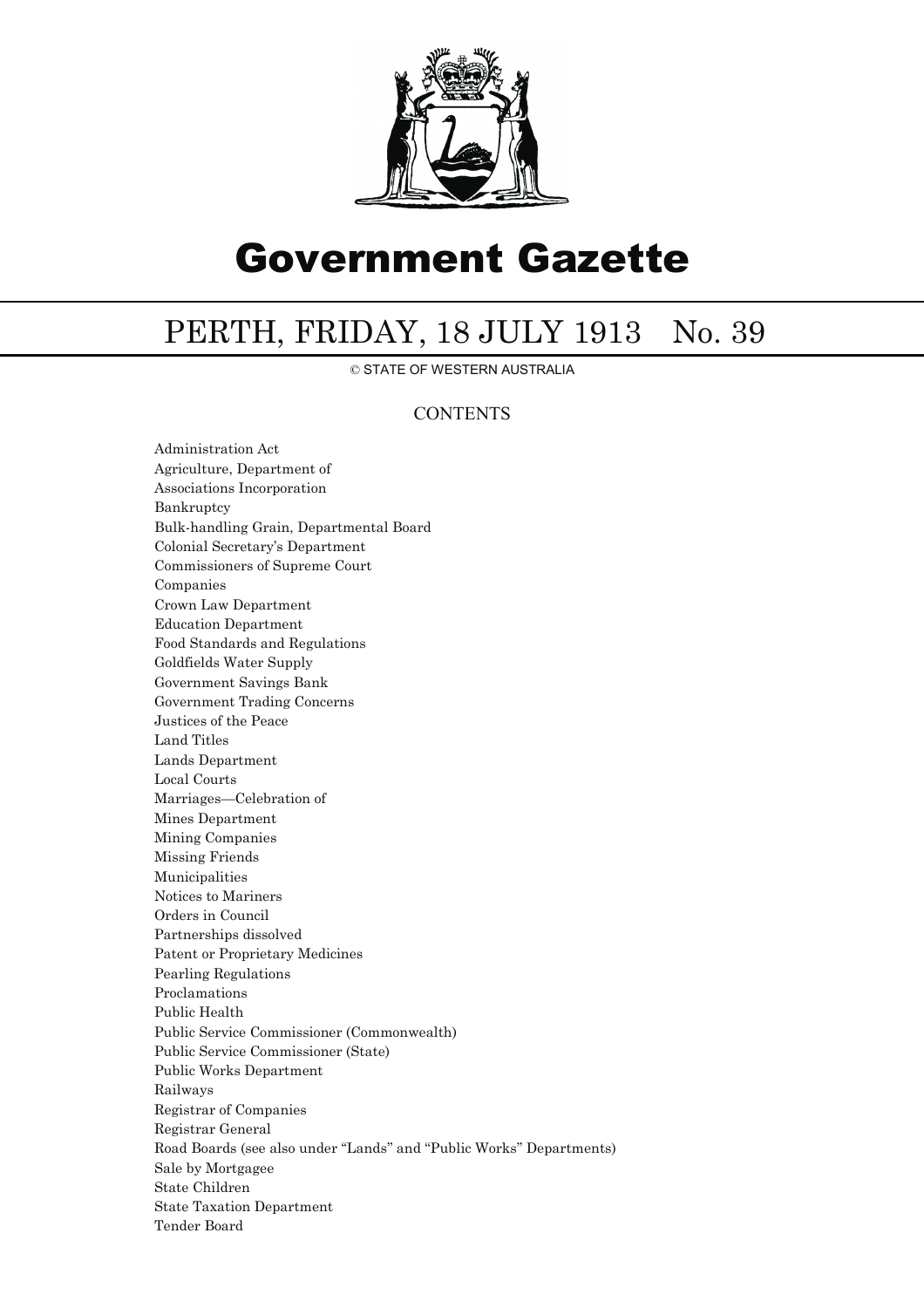

## Government Gazette

## PERTH, FRIDAY, 18 JULY 1913 No. 39

© STATE OF WESTERN AUSTRALIA

## **CONTENTS**

Administration Act Agriculture, Department of Associations Incorporation Bankruptcy Bulk-handling Grain, Departmental Board Colonial Secretary's Department Commissioners of Supreme Court Companies Crown Law Department Education Department Food Standards and Regulations Goldfields Water Supply Government Savings Bank Government Trading Concerns Justices of the Peace Land Titles Lands Department Local Courts Marriages—Celebration of Mines Department Mining Companies Missing Friends Municipalities Notices to Mariners Orders in Council Partnerships dissolved Patent or Proprietary Medicines Pearling Regulations Proclamations Public Health Public Service Commissioner (Commonwealth) Public Service Commissioner (State) Public Works Department Railways Registrar of Companies Registrar General Road Boards (see also under ''Lands'' and ''Public Works'' Departments) Sale by Mortgagee State Children State Taxation Department Tender Board